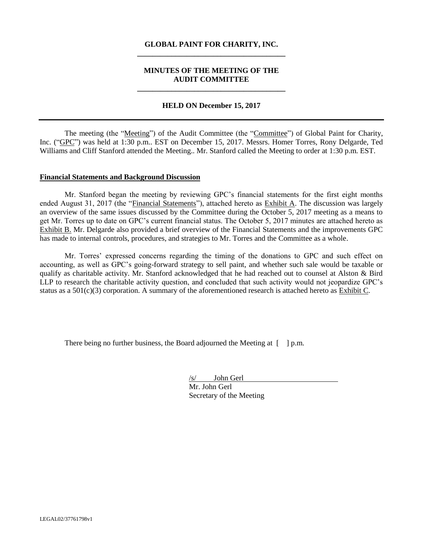### **GLOBAL PAINT FOR CHARITY, INC. \_\_\_\_\_\_\_\_\_\_\_\_\_\_\_\_\_\_\_\_\_\_\_\_\_\_\_\_\_\_\_\_\_\_\_\_\_\_\_**

### **MINUTES OF THE MEETING OF THE AUDIT COMMITTEE \_\_\_\_\_\_\_\_\_\_\_\_\_\_\_\_\_\_\_\_\_\_\_\_\_\_\_\_\_\_\_\_\_\_\_\_\_\_\_**

#### **HELD ON December 15, 2017**

The meeting (the "Meeting") of the Audit Committee (the "Committee") of Global Paint for Charity, Inc. ("GPC") was held at 1:30 p.m.. EST on December 15, 2017. Messrs. Homer Torres, Rony Delgarde, Ted Williams and Cliff Stanford attended the Meeting.. Mr. Stanford called the Meeting to order at 1:30 p.m. EST.

#### **Financial Statements and Background Discussion**

Mr. Stanford began the meeting by reviewing GPC's financial statements for the first eight months ended August 31, 2017 (the "Financial Statements"), attached hereto as Exhibit A. The discussion was largely an overview of the same issues discussed by the Committee during the October 5, 2017 meeting as a means to get Mr. Torres up to date on GPC's current financial status. The October 5, 2017 minutes are attached hereto as Exhibit B. Mr. Delgarde also provided a brief overview of the Financial Statements and the improvements GPC has made to internal controls, procedures, and strategies to Mr. Torres and the Committee as a whole.

Mr. Torres' expressed concerns regarding the timing of the donations to GPC and such effect on accounting, as well as GPC's going-forward strategy to sell paint, and whether such sale would be taxable or qualify as charitable activity. Mr. Stanford acknowledged that he had reached out to counsel at Alston & Bird LLP to research the charitable activity question, and concluded that such activity would not jeopardize GPC's status as a  $501(c)(3)$  corporation. A summary of the aforementioned research is attached hereto as Exhibit C.

There being no further business, the Board adjourned the Meeting at  $\lceil \quad \rceil$  p.m.

/s/ John Gerl Mr. John Gerl Secretary of the Meeting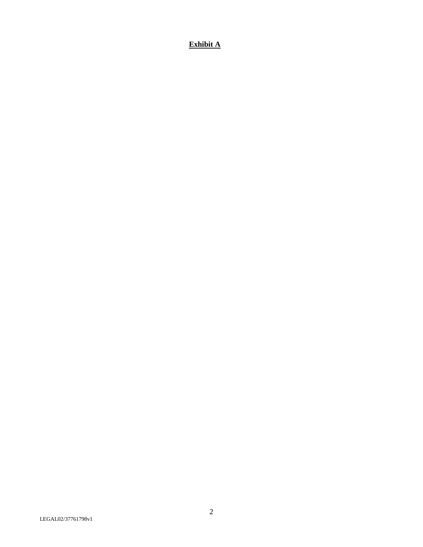# **Exhibit A**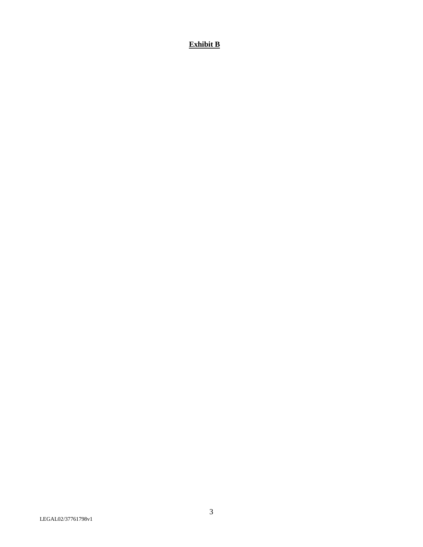## **Exhibit B**